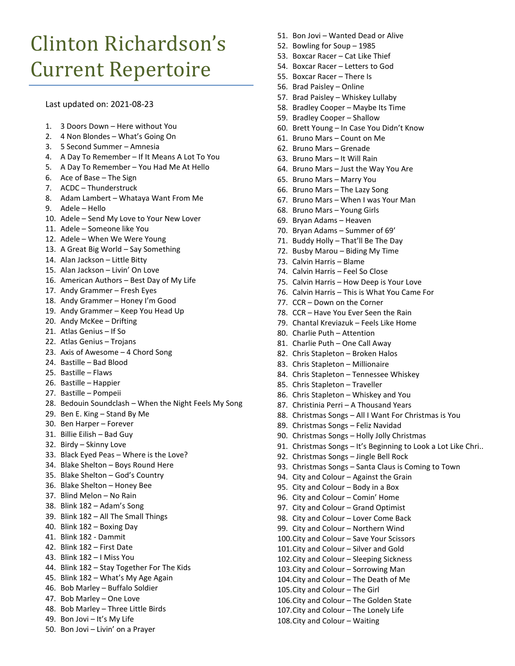## Clinton Richardson's Current Repertoire

Last updated on: 2021-08-23

- 1. 3 Doors Down Here without You
- 2. 4 Non Blondes What's Going On
- 3. 5 Second Summer Amnesia
- 4. A Day To Remember If It Means A Lot To You
- 5. A Day To Remember You Had Me At Hello
- 6. Ace of Base The Sign
- 7. ACDC Thunderstruck
- 8. Adam Lambert Whataya Want From Me
- 9. Adele Hello
- 10. Adele Send My Love to Your New Lover
- 11. Adele Someone like You
- 12. Adele When We Were Young
- 13. A Great Big World Say Something
- 14. Alan Jackson Little Bitty
- 15. Alan Jackson Livin' On Love
- 16. American Authors Best Day of My Life
- 17. Andy Grammer Fresh Eyes
- 18. Andy Grammer Honey I'm Good
- 19. Andy Grammer Keep You Head Up
- 20. Andy McKee Drifting
- 21. Atlas Genius If So
- 22. Atlas Genius Trojans
- 23. Axis of Awesome 4 Chord Song
- 24. Bastille Bad Blood
- 25. Bastille Flaws
- 26. Bastille Happier
- 27. Bastille Pompeii
- 28. Bedouin Soundclash When the Night Feels My Song
- 29. Ben E. King Stand By Me
- 30. Ben Harper Forever
- 31. Billie Eilish Bad Guy
- 32. Birdy Skinny Love
- 33. Black Eyed Peas Where is the Love?
- 34. Blake Shelton Boys Round Here
- 35. Blake Shelton God's Country
- 36. Blake Shelton Honey Bee
- 37. Blind Melon No Rain
- 38. Blink 182 Adam's Song
- 39. Blink 182 All The Small Things
- 40. Blink 182 Boxing Day
- 41. Blink 182 Dammit
- 42. Blink 182 First Date
- 43. Blink 182 I Miss You
- 44. Blink 182 Stay Together For The Kids
- 45. Blink 182 What's My Age Again
- 46. Bob Marley Buffalo Soldier
- 47. Bob Marley One Love
- 48. Bob Marley Three Little Birds
- 49. Bon Jovi It's My Life
- 50. Bon Jovi Livin' on a Prayer
- 51. Bon Jovi Wanted Dead or Alive
- 52. Bowling for Soup 1985
- 53. Boxcar Racer Cat Like Thief
- 54. Boxcar Racer Letters to God
- 55. Boxcar Racer There Is
- 56. Brad Paisley Online
- 57. Brad Paisley Whiskey Lullaby
- 58. Bradley Cooper Maybe Its Time
- 59. Bradley Cooper Shallow
- 60. Brett Young In Case You Didn't Know
- 61. Bruno Mars Count on Me
- 62. Bruno Mars Grenade
- 63. Bruno Mars It Will Rain
- 64. Bruno Mars Just the Way You Are
- 65. Bruno Mars Marry You
- 66. Bruno Mars The Lazy Song
- 67. Bruno Mars When I was Your Man
- 68. Bruno Mars Young Girls
- 69. Bryan Adams Heaven
- 70. Bryan Adams Summer of 69'
- 71. Buddy Holly That'll Be The Day
- 72. Busby Marou Biding My Time
- 73. Calvin Harris Blame
- 74. Calvin Harris Feel So Close
- 75. Calvin Harris How Deep is Your Love
- 76. Calvin Harris This is What You Came For
- 77. CCR Down on the Corner
- 78. CCR Have You Ever Seen the Rain
- 79. Chantal Kreviazuk Feels Like Home
- 80. Charlie Puth Attention
- 81. Charlie Puth One Call Away
- 82. Chris Stapleton Broken Halos
- 83. Chris Stapleton Millionaire
- 84. Chris Stapleton Tennessee Whiskey
- 85. Chris Stapleton Traveller
- 86. Chris Stapleton Whiskey and You
- 87. Christinia Perri A Thousand Years
- 88. Christmas Songs All I Want For Christmas is You
- 89. Christmas Songs Feliz Navidad
- 90. Christmas Songs Holly Jolly Christmas
- 91. Christmas Songs It's Beginning to Look a Lot Like Chri..
- 92. Christmas Songs Jingle Bell Rock
- 93. Christmas Songs Santa Claus is Coming to Town
- 94. City and Colour Against the Grain
- 95. City and Colour Body in a Box
- 96. City and Colour Comin' Home
- 97. City and Colour Grand Optimist
- 98. City and Colour Lover Come Back 99. City and Colour – Northern Wind

100.City and Colour – Save Your Scissors .City and Colour – Silver and Gold .City and Colour – Sleeping Sickness .City and Colour – Sorrowing Man .City and Colour – The Death of Me

106.City and Colour – The Golden State 107.City and Colour – The Lonely Life 108.City and Colour – Waiting

105.City and Colour – The Girl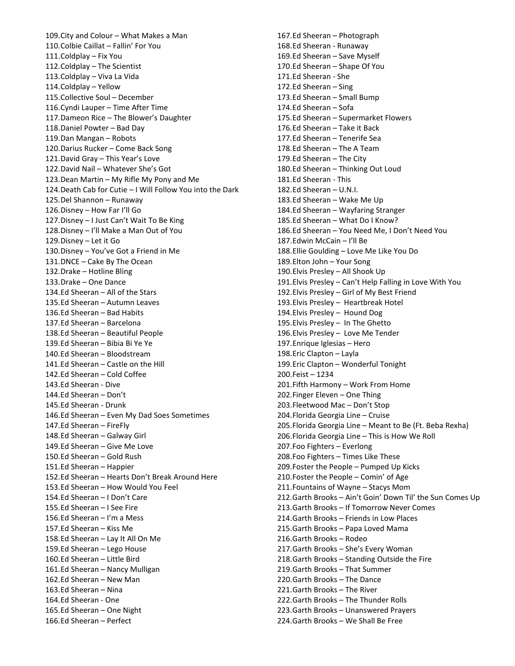109.City and Colour – What Makes a Man 110.Colbie Caillat – Fallin' For You 111.Coldplay – Fix You 112.Coldplay – The Scientist 113.Coldplay – Viva La Vida 114.Coldplay – Yellow 115.Collective Soul – December 116.Cyndi Lauper – Time After Time 117.Dameon Rice – The Blower's Daughter 118.Daniel Powter – Bad Day 119.Dan Mangan – Robots 120.Darius Rucker – Come Back Song 121.David Gray – This Year's Love 122.David Nail – Whatever She's Got 123.Dean Martin – My Rifle My Pony and Me 124.Death Cab for Cutie – I Will Follow You into the Dark 125.Del Shannon – Runaway 126.Disney – How Far I'll Go 127.Disney – I Just Can't Wait To Be King 128.Disney – I'll Make a Man Out of You 129.Disney – Let it Go 130.Disney – You've Got a Friend in Me 131.DNCE – Cake By The Ocean 132.Drake – Hotline Bling 133.Drake – One Dance 134.Ed Sheeran – All of the Stars 135.Ed Sheeran – Autumn Leaves 136.Ed Sheeran – Bad Habits 137.Ed Sheeran – Barcelona 138.Ed Sheeran – Beautiful People 139.Ed Sheeran – Bibia Bi Ye Ye 140.Ed Sheeran – Bloodstream 141.Ed Sheeran – Castle on the Hill 142.Ed Sheeran – Cold Coffee 143.Ed Sheeran - Dive 144.Ed Sheeran – Don't 145.Ed Sheeran - Drunk 146.Ed Sheeran – Even My Dad Soes Sometimes 147.Ed Sheeran – FireFly 148.Ed Sheeran – Galway Girl 149.Ed Sheeran – Give Me Love 150.Ed Sheeran – Gold Rush 151.Ed Sheeran – Happier 152.Ed Sheeran – Hearts Don't Break Around Here 153.Ed Sheeran – How Would You Feel 154.Ed Sheeran – I Don't Care 155.Ed Sheeran – I See Fire 156.Ed Sheeran – I'm a Mess 157.Ed Sheeran – Kiss Me 158.Ed Sheeran – Lay It All On Me 159.Ed Sheeran – Lego House 160.Ed Sheeran – Little Bird 161.Ed Sheeran – Nancy Mulligan 162.Ed Sheeran – New Man 163.Ed Sheeran – Nina 164.Ed Sheeran - One 165.Ed Sheeran – One Night 166.Ed Sheeran – Perfect

167.Ed Sheeran – Photograph 168.Ed Sheeran - Runaway 169.Ed Sheeran – Save Myself 170.Ed Sheeran – Shape Of You 171.Ed Sheeran - She 172.Ed Sheeran – Sing 173.Ed Sheeran – Small Bump 174.Ed Sheeran – Sofa 175.Ed Sheeran – Supermarket Flowers 176.Ed Sheeran – Take it Back 177.Ed Sheeran – Tenerife Sea 178.Ed Sheeran – The A Team 179.Ed Sheeran – The City 180.Ed Sheeran – Thinking Out Loud 181.Ed Sheeran - This 182.Ed Sheeran – U.N.I. 183.Ed Sheeran – Wake Me Up 184.Ed Sheeran – Wayfaring Stranger 185.Ed Sheeran – What Do I Know? 186.Ed Sheeran – You Need Me, I Don't Need You 187.Edwin McCain – I'll Be 188.Ellie Goulding – Love Me Like You Do 189.Elton John – Your Song 190.Elvis Presley – All Shook Up 191.Elvis Presley – Can't Help Falling in Love With You 192.Elvis Presley – Girl of My Best Friend 193.Elvis Presley – Heartbreak Hotel 194.Elvis Presley – Hound Dog 195.Elvis Presley – In The Ghetto 196.Elvis Presley – Love Me Tender 197.Enrique Iglesias – Hero 198.Eric Clapton – Layla 199.Eric Clapton – Wonderful Tonight 200.Feist – 1234 201.Fifth Harmony – Work From Home 202.Finger Eleven – One Thing 203.Fleetwood Mac – Don't Stop 204.Florida Georgia Line – Cruise 205.Florida Georgia Line – Meant to Be (Ft. Beba Rexha) 206.Florida Georgia Line – This is How We Roll 207.Foo Fighters – Everlong 208.Foo Fighters – Times Like These 209.Foster the People – Pumped Up Kicks 210.Foster the People – Comin' of Age 211.Fountains of Wayne – Stacys Mom 212.Garth Brooks – Ain't Goin' Down Til' the Sun Comes Up 213.Garth Brooks – If Tomorrow Never Comes 214.Garth Brooks – Friends in Low Places 215.Garth Brooks – Papa Loved Mama 216.Garth Brooks – Rodeo 217.Garth Brooks – She's Every Woman 218.Garth Brooks – Standing Outside the Fire 219.Garth Brooks – That Summer 220.Garth Brooks – The Dance 221.Garth Brooks – The River 222.Garth Brooks – The Thunder Rolls 223.Garth Brooks – Unanswered Prayers 224.Garth Brooks – We Shall Be Free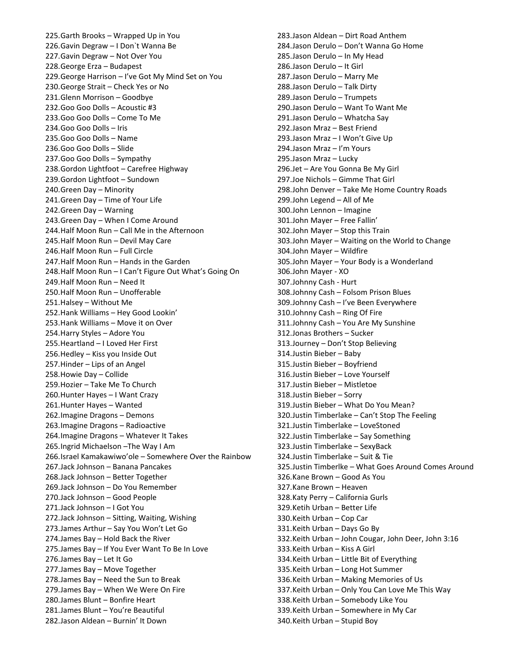225.Garth Brooks – Wrapped Up in You 226.Gavin Degraw – I Don`t Wanna Be 227.Gavin Degraw – Not Over You 228.George Erza – Budapest 229.George Harrison – I've Got My Mind Set on You 230.George Strait – Check Yes or No 231.Glenn Morrison – Goodbye 232.Goo Goo Dolls – Acoustic #3 233.Goo Goo Dolls – Come To Me 234.Goo Goo Dolls – Iris 235.Goo Goo Dolls – Name 236.Goo Goo Dolls – Slide 237.Goo Goo Dolls – Sympathy 238.Gordon Lightfoot – Carefree Highway 239.Gordon Lightfoot – Sundown 240.Green Day – Minority 241.Green Day – Time of Your Life 242.Green Day – Warning 243.Green Day – When I Come Around 244.Half Moon Run – Call Me in the Afternoon 245.Half Moon Run – Devil May Care 246.Half Moon Run – Full Circle 247.Half Moon Run – Hands in the Garden 248.Half Moon Run – I Can't Figure Out What's Going On 249.Half Moon Run – Need It 250.Half Moon Run – Unofferable 251.Halsey – Without Me 252.Hank Williams – Hey Good Lookin' 253.Hank Williams – Move it on Over 254.Harry Styles – Adore You 255.Heartland – I Loved Her First 256.Hedley – Kiss you Inside Out 257.Hinder – Lips of an Angel 258.Howie Day – Collide 259.Hozier – Take Me To Church 260.Hunter Hayes – I Want Crazy 261.Hunter Hayes – Wanted 262.Imagine Dragons – Demons 263.Imagine Dragons – Radioactive 264.Imagine Dragons – Whatever It Takes 265.Ingrid Michaelson –The Way I Am 266.Israel Kamakawiwo'ole – Somewhere Over the Rainbow 267.Jack Johnson – Banana Pancakes 268.Jack Johnson – Better Together 269.Jack Johnson – Do You Remember 270.Jack Johnson – Good People 271.Jack Johnson – I Got You 272.Jack Johnson – Sitting, Waiting, Wishing 273.James Arthur – Say You Won't Let Go 274.James Bay – Hold Back the River 275.James Bay – If You Ever Want To Be In Love 276.James Bay – Let It Go 277.James Bay – Move Together 278.James Bay – Need the Sun to Break 279.James Bay – When We Were On Fire 280.James Blunt – Bonfire Heart 281.James Blunt – You're Beautiful 282.Jason Aldean – Burnin' It Down

283.Jason Aldean – Dirt Road Anthem 284.Jason Derulo – Don't Wanna Go Home 285.Jason Derulo – In My Head 286.Jason Derulo – It Girl 287.Jason Derulo – Marry Me 288.Jason Derulo – Talk Dirty 289.Jason Derulo – Trumpets 290.Jason Derulo – Want To Want Me 291.Jason Derulo – Whatcha Say 292.Jason Mraz – Best Friend 293.Jason Mraz – I Won't Give Up 294.Jason Mraz – I'm Yours 295.Jason Mraz – Lucky 296.Jet – Are You Gonna Be My Girl 297.Joe Nichols – Gimme That Girl 298.John Denver – Take Me Home Country Roads 299.John Legend – All of Me 300.John Lennon – Imagine 301.John Mayer – Free Fallin' 302.John Mayer – Stop this Train 303.John Mayer – Waiting on the World to Change 304.John Mayer – Wildfire 305.John Mayer – Your Body is a Wonderland 306.John Mayer - XO 307.Johnny Cash - Hurt 308.Johnny Cash – Folsom Prison Blues 309.Johnny Cash – I've Been Everywhere 310.Johnny Cash – Ring Of Fire 311.Johnny Cash – You Are My Sunshine 312.Jonas Brothers – Sucker 313.Journey – Don't Stop Believing 314.Justin Bieber – Baby 315.Justin Bieber – Boyfriend 316.Justin Bieber – Love Yourself 317.Justin Bieber – Mistletoe 318.Justin Bieber – Sorry 319.Justin Bieber – What Do You Mean? 320.Justin Timberlake – Can't Stop The Feeling 321.Justin Timberlake – LoveStoned 322.Justin Timberlake – Say Something 323.Justin Timberlake – SexyBack 324.Justin Timberlake – Suit & Tie 325.Justin Timberlke – What Goes Around Comes Around 326.Kane Brown – Good As You 327.Kane Brown – Heaven 328.Katy Perry – California Gurls 329.Ketih Urban – Better Life 330.Keith Urban – Cop Car 331.Keith Urban – Days Go By 332.Keith Urban – John Cougar, John Deer, John 3:16 333.Keith Urban – Kiss A Girl 334.Keith Urban – Little Bit of Everything 335.Keith Urban – Long Hot Summer 336.Keith Urban – Making Memories of Us 337.Keith Urban – Only You Can Love Me This Way 338.Keith Urban – Somebody Like You 339.Keith Urban – Somewhere in My Car 340.Keith Urban – Stupid Boy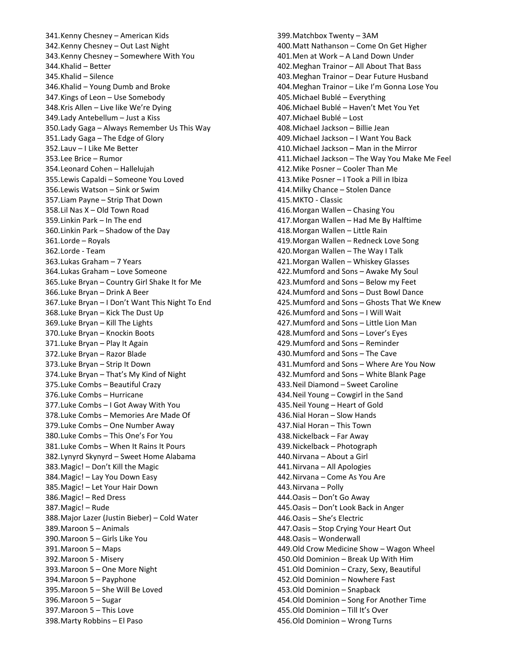341.Kenny Chesney – American Kids 342.Kenny Chesney – Out Last Night 343.Kenny Chesney – Somewhere With You 344.Khalid – Better 345.Khalid – Silence 346.Khalid – Young Dumb and Broke 347.Kings of Leon – Use Somebody 348.Kris Allen – Live like We're Dying 349.Lady Antebellum – Just a Kiss 350.Lady Gaga – Always Remember Us This Way 351.Lady Gaga – The Edge of Glory 352.Lauv – I Like Me Better 353.Lee Brice – Rumor 354.Leonard Cohen – Hallelujah 355.Lewis Capaldi – Someone You Loved 356.Lewis Watson – Sink or Swim 357.Liam Payne – Strip That Down 358.Lil Nas X – Old Town Road 359.Linkin Park – In The end 360.Linkin Park – Shadow of the Day 361.Lorde – Royals 362.Lorde - Team 363.Lukas Graham – 7 Years 364.Lukas Graham – Love Someone 365.Luke Bryan – Country Girl Shake It for Me 366.Luke Bryan – Drink A Beer 367.Luke Bryan – I Don't Want This Night To End 368.Luke Bryan – Kick The Dust Up 369.Luke Bryan – Kill The Lights 370.Luke Bryan – Knockin Boots 371.Luke Bryan – Play It Again 372.Luke Bryan – Razor Blade 373.Luke Bryan – Strip It Down 374.Luke Bryan – That's My Kind of Night 375.Luke Combs – Beautiful Crazy 376.Luke Combs – Hurricane 377.Luke Combs – I Got Away With You 378.Luke Combs – Memories Are Made Of 379.Luke Combs – One Number Away 380.Luke Combs – This One's For You 381.Luke Combs – When It Rains It Pours 382.Lynyrd Skynyrd – Sweet Home Alabama 383.Magic! – Don't Kill the Magic 384.Magic! – Lay You Down Easy 385.Magic! – Let Your Hair Down 386.Magic! – Red Dress 387.Magic! – Rude 388.Major Lazer (Justin Bieber) – Cold Water 389.Maroon 5 – Animals 390.Maroon 5 – Girls Like You 391.Maroon 5 – Maps 392.Maroon 5 - Misery 393.Maroon 5 – One More Night 394.Maroon 5 – Payphone 395.Maroon 5 – She Will Be Loved 396.Maroon 5 – Sugar 397.Maroon 5 – This Love 398.Marty Robbins – El Paso

399.Matchbox Twenty – 3AM 400.Matt Nathanson – Come On Get Higher 401.Men at Work – A Land Down Under 402.Meghan Trainor – All About That Bass 403.Meghan Trainor – Dear Future Husband 404.Meghan Trainor – Like I'm Gonna Lose You 405.Michael Bublé – Everything 406.Michael Bublé – Haven't Met You Yet 407.Michael Bublé – Lost 408.Michael Jackson – Billie Jean 409.Michael Jackson – I Want You Back 410.Michael Jackson – Man in the Mirror 411.Michael Jackson – The Way You Make Me Feel 412.Mike Posner – Cooler Than Me 413.Mike Posner – I Took a Pill in Ibiza 414.Milky Chance – Stolen Dance 415.MKTO - Classic 416.Morgan Wallen – Chasing You 417.Morgan Wallen – Had Me By Halftime 418.Morgan Wallen – Little Rain 419.Morgan Wallen – Redneck Love Song 420.Morgan Wallen – The Way I Talk 421.Morgan Wallen – Whiskey Glasses 422.Mumford and Sons – Awake My Soul 423.Mumford and Sons – Below my Feet 424.Mumford and Sons – Dust Bowl Dance 425.Mumford and Sons – Ghosts That We Knew 426.Mumford and Sons – I Will Wait 427.Mumford and Sons – Little Lion Man 428.Mumford and Sons – Lover's Eyes 429.Mumford and Sons – Reminder 430.Mumford and Sons – The Cave 431.Mumford and Sons – Where Are You Now 432.Mumford and Sons – White Blank Page 433.Neil Diamond – Sweet Caroline 434.Neil Young – Cowgirl in the Sand 435.Neil Young – Heart of Gold 436.Nial Horan – Slow Hands 437.Nial Horan – This Town 438.Nickelback – Far Away 439.Nickelback – Photograph 440.Nirvana – About a Girl 441.Nirvana – All Apologies 442.Nirvana – Come As You Are 443.Nirvana – Polly 444.Oasis – Don't Go Away 445.Oasis – Don't Look Back in Anger 446.Oasis – She's Electric 447.Oasis – Stop Crying Your Heart Out 448.Oasis – Wonderwall 449.Old Crow Medicine Show – Wagon Wheel 450.Old Dominion – Break Up With Him 451.Old Dominion – Crazy, Sexy, Beautiful 452.Old Dominion – Nowhere Fast 453.Old Dominion – Snapback 454.Old Dominion – Song For Another Time 455.Old Dominion – Till It's Over 456.Old Dominion – Wrong Turns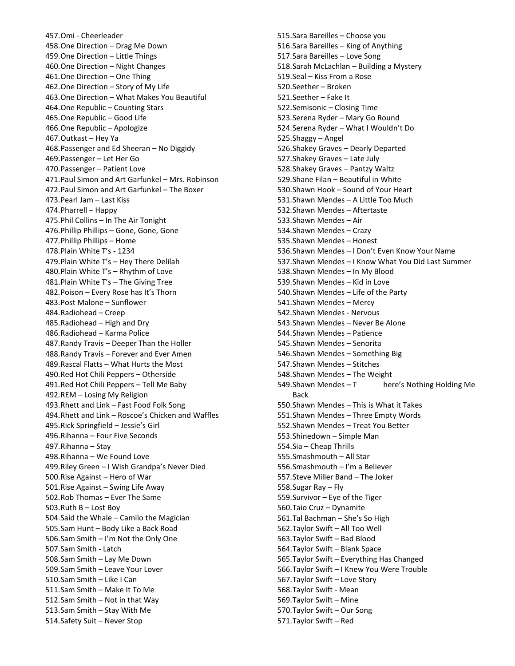457.Omi - Cheerleader 458.One Direction – Drag Me Down 459.One Direction – Little Things 460.One Direction – Night Changes 461.One Direction – One Thing 462.One Direction – Story of My Life 463.One Direction – What Makes You Beautiful 464.One Republic – Counting Stars 465.One Republic – Good Life 466.One Republic – Apologize 467.Outkast – Hey Ya 468.Passenger and Ed Sheeran – No Diggidy 469.Passenger – Let Her Go 470.Passenger – Patient Love 471.Paul Simon and Art Garfunkel – Mrs. Robinson 472.Paul Simon and Art Garfunkel – The Boxer 473.Pearl Jam – Last Kiss 474.Pharrell – Happy 475.Phil Collins – In The Air Tonight 476.Phillip Phillips – Gone, Gone, Gone 477.Phillip Phillips – Home 478.Plain White T's - 1234 479.Plain White T's – Hey There Delilah 480.Plain White T's – Rhythm of Love 481.Plain White T's – The Giving Tree 482.Poison – Every Rose has It's Thorn 483.Post Malone – Sunflower 484.Radiohead – Creep 485.Radiohead – High and Dry 486.Radiohead – Karma Police 487.Randy Travis – Deeper Than the Holler 488.Randy Travis – Forever and Ever Amen 489.Rascal Flatts – What Hurts the Most 490.Red Hot Chili Peppers – Otherside 491.Red Hot Chili Peppers – Tell Me Baby 492.REM – Losing My Religion 493.Rhett and Link – Fast Food Folk Song 494.Rhett and Link – Roscoe's Chicken and Waffles 495.Rick Springfield – Jessie's Girl 496.Rihanna – Four Five Seconds 497.Rihanna – Stay 498.Rihanna – We Found Love 499.Riley Green – I Wish Grandpa's Never Died 500.Rise Against – Hero of War 501.Rise Against – Swing Life Away 502.Rob Thomas – Ever The Same 503.Ruth B – Lost Boy 504.Said the Whale – Camilo the Magician 505.Sam Hunt – Body Like a Back Road 506.Sam Smith – I'm Not the Only One 507.Sam Smith - Latch 508.Sam Smith – Lay Me Down 509.Sam Smith – Leave Your Lover 510.Sam Smith – Like I Can 511.Sam Smith – Make It To Me 512.Sam Smith – Not in that Way 513.Sam Smith – Stay With Me 514.Safety Suit – Never Stop

515.Sara Bareilles – Choose you 516.Sara Bareilles – King of Anything 517.Sara Bareilles – Love Song 518.Sarah McLachlan – Building a Mystery 519.Seal – Kiss From a Rose 520.Seether – Broken 521.Seether – Fake It 522.Semisonic – Closing Time 523.Serena Ryder – Mary Go Round 524.Serena Ryder – What I Wouldn't Do 525.Shaggy – Angel 526.Shakey Graves – Dearly Departed 527.Shakey Graves – Late July 528.Shakey Graves – Pantzy Waltz 529.Shane Filan – Beautiful in White 530.Shawn Hook – Sound of Your Heart 531.Shawn Mendes – A Little Too Much 532.Shawn Mendes – Aftertaste 533.Shawn Mendes – Air 534.Shawn Mendes – Crazy 535.Shawn Mendes – Honest 536.Shawn Mendes – I Don't Even Know Your Name 537.Shawn Mendes – I Know What You Did Last Summer 538.Shawn Mendes – In My Blood 539.Shawn Mendes – Kid in Love 540.Shawn Mendes – Life of the Party 541.Shawn Mendes – Mercy 542.Shawn Mendes - Nervous 543.Shawn Mendes – Never Be Alone 544.Shawn Mendes – Patience 545.Shawn Mendes – Senorita 546.Shawn Mendes – Something Big 547.Shawn Mendes – Stitches 548.Shawn Mendes – The Weight 549. Shawn Mendes  $-$  T here's Nothing Holding Me Back 550.Shawn Mendes – This is What it Takes 551.Shawn Mendes – Three Empty Words 552.Shawn Mendes – Treat You Better 553.Shinedown – Simple Man 554.Sia – Cheap Thrills 555.Smashmouth – All Star 556.Smashmouth – I'm a Believer 557.Steve Miller Band – The Joker 558.Sugar Ray – Fly 559.Survivor – Eye of the Tiger 560.Taio Cruz – Dynamite 561.Tal Bachman – She's So High 562.Taylor Swift – All Too Well 563.Taylor Swift – Bad Blood 564.Taylor Swift – Blank Space 565.Taylor Swift – Everything Has Changed 566.Taylor Swift – I Knew You Were Trouble 567.Taylor Swift – Love Story 568.Taylor Swift - Mean 569.Taylor Swift – Mine 570.Taylor Swift – Our Song 571.Taylor Swift – Red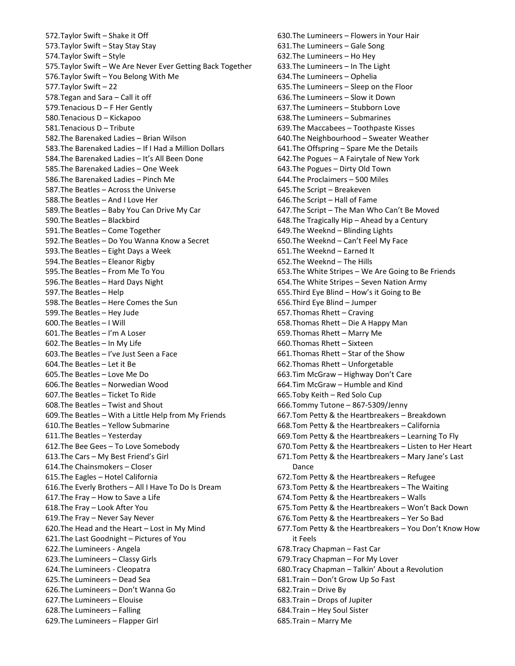572.Taylor Swift – Shake it Off 573.Taylor Swift – Stay Stay Stay 574.Taylor Swift – Style 575.Taylor Swift – We Are Never Ever Getting Back Together 576.Taylor Swift – You Belong With Me 577.Taylor Swift – 22 578.Tegan and Sara – Call it off 579.Tenacious D – F Her Gently 580.Tenacious D – Kickapoo 581.Tenacious D – Tribute 582.The Barenaked Ladies – Brian Wilson 583.The Barenaked Ladies – If I Had a Million Dollars 584.The Barenaked Ladies – It's All Been Done 585.The Barenaked Ladies – One Week 586.The Barenaked Ladies – Pinch Me 587.The Beatles – Across the Universe 588.The Beatles – And I Love Her 589.The Beatles – Baby You Can Drive My Car 590.The Beatles – Blackbird 591.The Beatles – Come Together 592.The Beatles – Do You Wanna Know a Secret 593.The Beatles – Eight Days a Week 594.The Beatles – Eleanor Rigby 595.The Beatles – From Me To You 596.The Beatles – Hard Days Night 597.The Beatles – Help 598.The Beatles – Here Comes the Sun 599.The Beatles – Hey Jude 600.The Beatles – I Will 601.The Beatles – I'm A Loser 602.The Beatles – In My Life 603.The Beatles – I've Just Seen a Face 604.The Beatles – Let it Be 605.The Beatles – Love Me Do 606.The Beatles – Norwedian Wood 607.The Beatles – Ticket To Ride 608.The Beatles – Twist and Shout 609.The Beatles – With a Little Help from My Friends 610.The Beatles – Yellow Submarine 611.The Beatles – Yesterday 612.The Bee Gees – To Love Somebody 613.The Cars – My Best Friend's Girl 614.The Chainsmokers – Closer 615.The Eagles – Hotel California 616.The Everly Brothers – All I Have To Do Is Dream 617.The Fray – How to Save a Life 618.The Fray – Look After You 619.The Fray – Never Say Never 620.The Head and the Heart – Lost in My Mind 621.The Last Goodnight – Pictures of You 622.The Lumineers - Angela 623.The Lumineers – Classy Girls 624.The Lumineers - Cleopatra 625.The Lumineers – Dead Sea 626.The Lumineers – Don't Wanna Go 627.The Lumineers – Elouise 628.The Lumineers – Falling 629.The Lumineers – Flapper Girl

630.The Lumineers – Flowers in Your Hair 631.The Lumineers – Gale Song 632.The Lumineers – Ho Hey 633.The Lumineers – In The Light 634.The Lumineers – Ophelia 635.The Lumineers – Sleep on the Floor 636.The Lumineers – Slow it Down 637.The Lumineers – Stubborn Love 638.The Lumineers – Submarines 639.The Maccabees – Toothpaste Kisses 640.The Neighbourhood – Sweater Weather 641.The Offspring – Spare Me the Details 642.The Pogues – A Fairytale of New York 643.The Pogues – Dirty Old Town 644.The Proclaimers – 500 Miles 645.The Script – Breakeven 646.The Script – Hall of Fame 647.The Script – The Man Who Can't Be Moved 648.The Tragically Hip – Ahead by a Century 649.The Weeknd – Blinding Lights 650.The Weeknd – Can't Feel My Face 651.The Weeknd – Earned It 652.The Weeknd – The Hills 653.The White Stripes – We Are Going to Be Friends 654.The White Stripes – Seven Nation Army 655.Third Eye Blind – How's it Going to Be 656.Third Eye Blind – Jumper 657.Thomas Rhett – Craving 658.Thomas Rhett – Die A Happy Man 659.Thomas Rhett – Marry Me 660.Thomas Rhett – Sixteen 661.Thomas Rhett – Star of the Show 662.Thomas Rhett – Unforgetable 663.Tim McGraw – Highway Don't Care 664.Tim McGraw – Humble and Kind 665.Toby Keith – Red Solo Cup 666.Tommy Tutone – 867-5309/Jenny 667.Tom Petty & the Heartbreakers – Breakdown 668.Tom Petty & the Heartbreakers – California 669.Tom Petty & the Heartbreakers – Learning To Fly 670.Tom Petty & the Heartbreakers – Listen to Her Heart 671.Tom Petty & the Heartbreakers – Mary Jane's Last Dance 672.Tom Petty & the Heartbreakers – Refugee 673.Tom Petty & the Heartbreakers – The Waiting 674.Tom Petty & the Heartbreakers – Walls 675.Tom Petty & the Heartbreakers – Won't Back Down 676.Tom Petty & the Heartbreakers – Yer So Bad 677.Tom Petty & the Heartbreakers – You Don't Know How it Feels 678.Tracy Chapman – Fast Car 679.Tracy Chapman – For My Lover 680.Tracy Chapman – Talkin' About a Revolution 681.Train – Don't Grow Up So Fast 682.Train – Drive By 683.Train – Drops of Jupiter 684.Train – Hey Soul Sister 685.Train – Marry Me